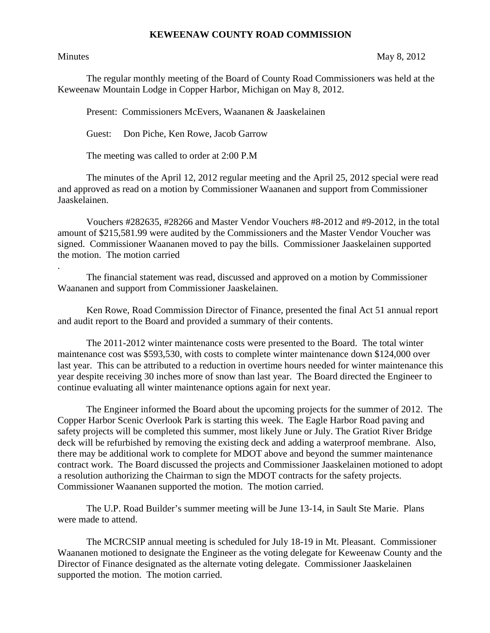## **KEWEENAW COUNTY ROAD COMMISSION**

.

## Minutes May 8, 2012

The regular monthly meeting of the Board of County Road Commissioners was held at the Keweenaw Mountain Lodge in Copper Harbor, Michigan on May 8, 2012.

Present: Commissioners McEvers, Waananen & Jaaskelainen

Guest: Don Piche, Ken Rowe, Jacob Garrow

The meeting was called to order at 2:00 P.M

 The minutes of the April 12, 2012 regular meeting and the April 25, 2012 special were read and approved as read on a motion by Commissioner Waananen and support from Commissioner Jaaskelainen.

 Vouchers #282635, #28266 and Master Vendor Vouchers #8-2012 and #9-2012, in the total amount of \$215,581.99 were audited by the Commissioners and the Master Vendor Voucher was signed. Commissioner Waananen moved to pay the bills. Commissioner Jaaskelainen supported the motion. The motion carried

 The financial statement was read, discussed and approved on a motion by Commissioner Waananen and support from Commissioner Jaaskelainen.

 Ken Rowe, Road Commission Director of Finance, presented the final Act 51 annual report and audit report to the Board and provided a summary of their contents.

 The 2011-2012 winter maintenance costs were presented to the Board. The total winter maintenance cost was \$593,530, with costs to complete winter maintenance down \$124,000 over last year. This can be attributed to a reduction in overtime hours needed for winter maintenance this year despite receiving 30 inches more of snow than last year. The Board directed the Engineer to continue evaluating all winter maintenance options again for next year.

 The Engineer informed the Board about the upcoming projects for the summer of 2012. The Copper Harbor Scenic Overlook Park is starting this week. The Eagle Harbor Road paving and safety projects will be completed this summer, most likely June or July. The Gratiot River Bridge deck will be refurbished by removing the existing deck and adding a waterproof membrane. Also, there may be additional work to complete for MDOT above and beyond the summer maintenance contract work. The Board discussed the projects and Commissioner Jaaskelainen motioned to adopt a resolution authorizing the Chairman to sign the MDOT contracts for the safety projects. Commissioner Waananen supported the motion. The motion carried.

 The U.P. Road Builder's summer meeting will be June 13-14, in Sault Ste Marie. Plans were made to attend.

 The MCRCSIP annual meeting is scheduled for July 18-19 in Mt. Pleasant. Commissioner Waananen motioned to designate the Engineer as the voting delegate for Keweenaw County and the Director of Finance designated as the alternate voting delegate. Commissioner Jaaskelainen supported the motion. The motion carried.